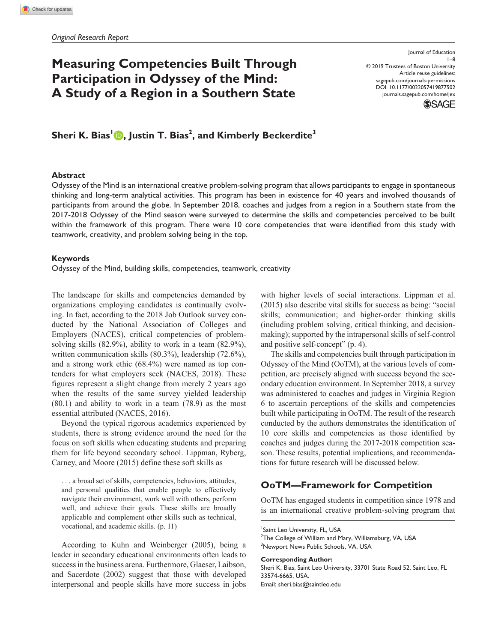# **Measuring Competencies Built Through Participation in Odyssey of the Mind: A Study of a Region in a Southern State**

Journal of Education 1–8 © 2019 Trustees of Boston University Article reuse guidelines: sagepub.com/journals-permissions DOI: 10.1177/0022057419877502 journals.sagepub.com/home/jex (\$)SAGE

 ${\sf Sheri\;K.\; Bias}^{\sf I}$  , Justin T. Bias<sup>2</sup>, and Kimberly Beckerdite $^3$ 

#### **Abstract**

Odyssey of the Mind is an international creative problem-solving program that allows participants to engage in spontaneous thinking and long-term analytical activities. This program has been in existence for 40 years and involved thousands of participants from around the globe. In September 2018, coaches and judges from a region in a Southern state from the 2017-2018 Odyssey of the Mind season were surveyed to determine the skills and competencies perceived to be built within the framework of this program. There were 10 core competencies that were identified from this study with teamwork, creativity, and problem solving being in the top.

#### **Keywords**

Odyssey of the Mind, building skills, competencies, teamwork, creativity

The landscape for skills and competencies demanded by organizations employing candidates is continually evolving. In fact, according to the 2018 Job Outlook survey conducted by the National Association of Colleges and Employers (NACES), critical competencies of problemsolving skills (82.9%), ability to work in a team (82.9%), written communication skills (80.3%), leadership (72.6%), and a strong work ethic (68.4%) were named as top contenders for what employers seek (NACES, 2018). These figures represent a slight change from merely 2 years ago when the results of the same survey yielded leadership (80.1) and ability to work in a team (78.9) as the most essential attributed (NACES, 2016).

Beyond the typical rigorous academics experienced by students, there is strong evidence around the need for the focus on soft skills when educating students and preparing them for life beyond secondary school. Lippman, Ryberg, Carney, and Moore (2015) define these soft skills as

. . . a broad set of skills, competencies, behaviors, attitudes, and personal qualities that enable people to effectively navigate their environment, work well with others, perform well, and achieve their goals. These skills are broadly applicable and complement other skills such as technical, vocational, and academic skills. (p. 11)

According to Kuhn and Weinberger (2005), being a leader in secondary educational environments often leads to success in the business arena. Furthermore, Glaeser, Laibson, and Sacerdote (2002) suggest that those with developed interpersonal and people skills have more success in jobs

with higher levels of social interactions. Lippman et al. (2015) also describe vital skills for success as being: "social skills; communication; and higher-order thinking skills (including problem solving, critical thinking, and decisionmaking); supported by the intrapersonal skills of self-control and positive self-concept" (p. 4).

The skills and competencies built through participation in Odyssey of the Mind (OoTM), at the various levels of competition, are precisely aligned with success beyond the secondary education environment. In September 2018, a survey was administered to coaches and judges in Virginia Region 6 to ascertain perceptions of the skills and competencies built while participating in OoTM. The result of the research conducted by the authors demonstrates the identification of 10 core skills and competencies as those identified by coaches and judges during the 2017-2018 competition season. These results, potential implications, and recommendations for future research will be discussed below.

## **OoTM—Framework for Competition**

OoTM has engaged students in competition since 1978 and is an international creative problem-solving program that

#### **Corresponding Author:**

Sheri K. Bias, Saint Leo University, 33701 State Road 52, Saint Leo, FL 33574-6665, USA. Email: sheri.bias@saintleo.edu

Saint Leo University, FL, USA

 $^{2}$ The College of William and Mary, Williamsburg, VA, USA <sup>3</sup>Newport News Public Schools, VA, USA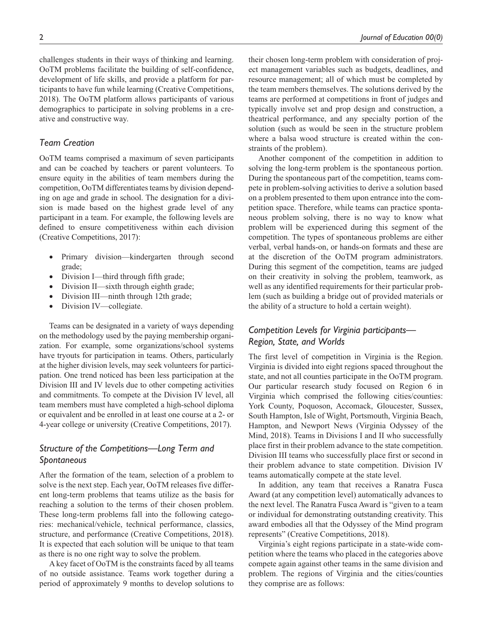challenges students in their ways of thinking and learning. OoTM problems facilitate the building of self-confidence, development of life skills, and provide a platform for participants to have fun while learning (Creative Competitions, 2018). The OoTM platform allows participants of various demographics to participate in solving problems in a creative and constructive way.

#### *Team Creation*

OoTM teams comprised a maximum of seven participants and can be coached by teachers or parent volunteers. To ensure equity in the abilities of team members during the competition, OoTM differentiates teams by division depending on age and grade in school. The designation for a division is made based on the highest grade level of any participant in a team. For example, the following levels are defined to ensure competitiveness within each division (Creative Competitions, 2017):

- Primary division—kindergarten through second grade;
- Division I—third through fifth grade;
- Division II—sixth through eighth grade;
- Division III—ninth through 12th grade;
- Division IV—collegiate.

Teams can be designated in a variety of ways depending on the methodology used by the paying membership organization. For example, some organizations/school systems have tryouts for participation in teams. Others, particularly at the higher division levels, may seek volunteers for participation. One trend noticed has been less participation at the Division III and IV levels due to other competing activities and commitments. To compete at the Division IV level, all team members must have completed a high-school diploma or equivalent and be enrolled in at least one course at a 2- or 4-year college or university (Creative Competitions, 2017).

# *Structure of the Competitions—Long Term and Spontaneous*

After the formation of the team, selection of a problem to solve is the next step. Each year, OoTM releases five different long-term problems that teams utilize as the basis for reaching a solution to the terms of their chosen problem. These long-term problems fall into the following categories: mechanical/vehicle, technical performance, classics, structure, and performance (Creative Competitions, 2018). It is expected that each solution will be unique to that team as there is no one right way to solve the problem.

A key facet of OoTM is the constraints faced by all teams of no outside assistance. Teams work together during a period of approximately 9 months to develop solutions to their chosen long-term problem with consideration of project management variables such as budgets, deadlines, and resource management; all of which must be completed by the team members themselves. The solutions derived by the teams are performed at competitions in front of judges and typically involve set and prop design and construction, a theatrical performance, and any specialty portion of the solution (such as would be seen in the structure problem where a balsa wood structure is created within the constraints of the problem).

Another component of the competition in addition to solving the long-term problem is the spontaneous portion. During the spontaneous part of the competition, teams compete in problem-solving activities to derive a solution based on a problem presented to them upon entrance into the competition space. Therefore, while teams can practice spontaneous problem solving, there is no way to know what problem will be experienced during this segment of the competition. The types of spontaneous problems are either verbal, verbal hands-on, or hands-on formats and these are at the discretion of the OoTM program administrators. During this segment of the competition, teams are judged on their creativity in solving the problem, teamwork, as well as any identified requirements for their particular problem (such as building a bridge out of provided materials or the ability of a structure to hold a certain weight).

# *Competition Levels for Virginia participants— Region, State, and Worlds*

The first level of competition in Virginia is the Region. Virginia is divided into eight regions spaced throughout the state, and not all counties participate in the OoTM program. Our particular research study focused on Region 6 in Virginia which comprised the following cities/counties: York County, Poquoson, Accomack, Gloucester, Sussex, South Hampton, Isle of Wight, Portsmouth, Virginia Beach, Hampton, and Newport News (Virginia Odyssey of the Mind, 2018). Teams in Divisions I and II who successfully place first in their problem advance to the state competition. Division III teams who successfully place first or second in their problem advance to state competition. Division IV teams automatically compete at the state level.

In addition, any team that receives a Ranatra Fusca Award (at any competition level) automatically advances to the next level. The Ranatra Fusca Award is "given to a team or individual for demonstrating outstanding creativity. This award embodies all that the Odyssey of the Mind program represents" (Creative Competitions, 2018).

Virginia's eight regions participate in a state-wide competition where the teams who placed in the categories above compete again against other teams in the same division and problem. The regions of Virginia and the cities/counties they comprise are as follows: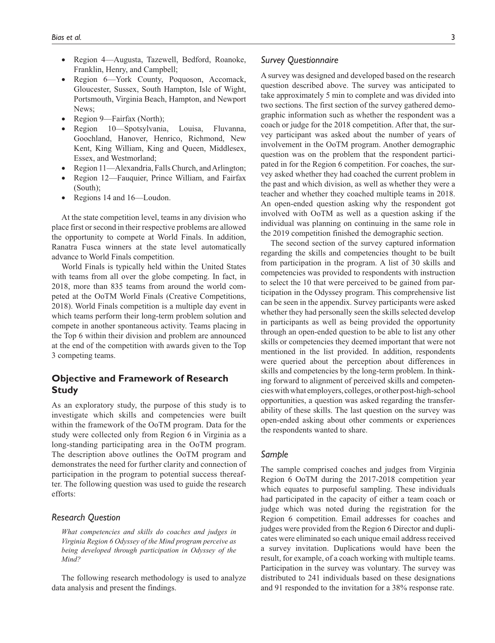- Region 4—Augusta, Tazewell, Bedford, Roanoke, Franklin, Henry, and Campbell;
- Region 6—York County, Poquoson, Accomack, Gloucester, Sussex, South Hampton, Isle of Wight, Portsmouth, Virginia Beach, Hampton, and Newport News;
- Region 9—Fairfax (North);
- Region 10—Spotsylvania, Louisa, Fluvanna, Goochland, Hanover, Henrico, Richmond, New Kent, King William, King and Queen, Middlesex, Essex, and Westmorland;
- Region 11—Alexandria, Falls Church, and Arlington;
- Region 12—Fauquier, Prince William, and Fairfax (South);
- Regions 14 and 16—Loudon.

At the state competition level, teams in any division who place first or second in their respective problems are allowed the opportunity to compete at World Finals. In addition, Ranatra Fusca winners at the state level automatically advance to World Finals competition.

World Finals is typically held within the United States with teams from all over the globe competing. In fact, in 2018, more than 835 teams from around the world competed at the OoTM World Finals (Creative Competitions, 2018). World Finals competition is a multiple day event in which teams perform their long-term problem solution and compete in another spontaneous activity. Teams placing in the Top 6 within their division and problem are announced at the end of the competition with awards given to the Top 3 competing teams.

# **Objective and Framework of Research Study**

As an exploratory study, the purpose of this study is to investigate which skills and competencies were built within the framework of the OoTM program. Data for the study were collected only from Region 6 in Virginia as a long-standing participating area in the OoTM program. The description above outlines the OoTM program and demonstrates the need for further clarity and connection of participation in the program to potential success thereafter. The following question was used to guide the research efforts:

#### *Research Question*

*What competencies and skills do coaches and judges in Virginia Region 6 Odyssey of the Mind program perceive as being developed through participation in Odyssey of the Mind?*

The following research methodology is used to analyze data analysis and present the findings.

#### *Survey Questionnaire*

A survey was designed and developed based on the research question described above. The survey was anticipated to take approximately 5 min to complete and was divided into two sections. The first section of the survey gathered demographic information such as whether the respondent was a coach or judge for the 2018 competition. After that, the survey participant was asked about the number of years of involvement in the OoTM program. Another demographic question was on the problem that the respondent participated in for the Region 6 competition. For coaches, the survey asked whether they had coached the current problem in the past and which division, as well as whether they were a teacher and whether they coached multiple teams in 2018. An open-ended question asking why the respondent got involved with OoTM as well as a question asking if the individual was planning on continuing in the same role in the 2019 competition finished the demographic section.

The second section of the survey captured information regarding the skills and competencies thought to be built from participation in the program. A list of 30 skills and competencies was provided to respondents with instruction to select the 10 that were perceived to be gained from participation in the Odyssey program. This comprehensive list can be seen in the appendix. Survey participants were asked whether they had personally seen the skills selected develop in participants as well as being provided the opportunity through an open-ended question to be able to list any other skills or competencies they deemed important that were not mentioned in the list provided. In addition, respondents were queried about the perception about differences in skills and competencies by the long-term problem. In thinking forward to alignment of perceived skills and competencies with what employers, colleges, or other post-high-school opportunities, a question was asked regarding the transferability of these skills. The last question on the survey was open-ended asking about other comments or experiences the respondents wanted to share.

## *Sample*

The sample comprised coaches and judges from Virginia Region 6 OoTM during the 2017-2018 competition year which equates to purposeful sampling. These individuals had participated in the capacity of either a team coach or judge which was noted during the registration for the Region 6 competition. Email addresses for coaches and judges were provided from the Region 6 Director and duplicates were eliminated so each unique email address received a survey invitation. Duplications would have been the result, for example, of a coach working with multiple teams. Participation in the survey was voluntary. The survey was distributed to 241 individuals based on these designations and 91 responded to the invitation for a 38% response rate.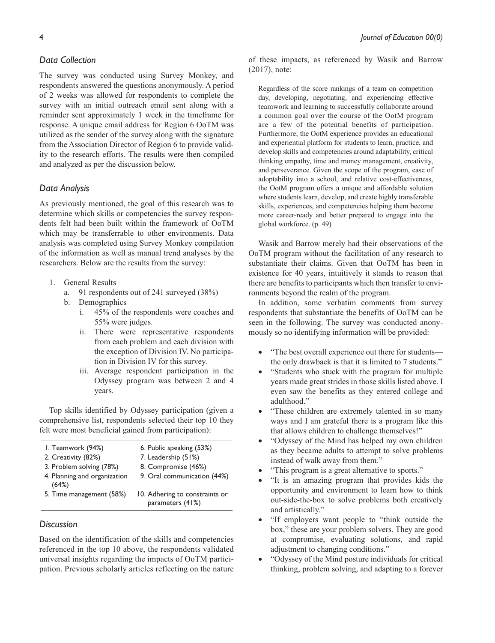## *Data Collection*

The survey was conducted using Survey Monkey, and respondents answered the questions anonymously. A period of 2 weeks was allowed for respondents to complete the survey with an initial outreach email sent along with a reminder sent approximately 1 week in the timeframe for response. A unique email address for Region 6 OoTM was utilized as the sender of the survey along with the signature from the Association Director of Region 6 to provide validity to the research efforts. The results were then compiled and analyzed as per the discussion below.

# *Data Analysis*

As previously mentioned, the goal of this research was to determine which skills or competencies the survey respondents felt had been built within the framework of OoTM which may be transferrable to other environments. Data analysis was completed using Survey Monkey compilation of the information as well as manual trend analyses by the researchers. Below are the results from the survey:

- 1. General Results
	- a. 91 respondents out of 241 surveyed (38%)
	- b. Demographics
		- i. 45% of the respondents were coaches and 55% were judges.
		- ii. There were representative respondents from each problem and each division with the exception of Division IV. No participation in Division IV for this survey.
		- iii. Average respondent participation in the Odyssey program was between 2 and 4 years.

Top skills identified by Odyssey participation (given a comprehensive list, respondents selected their top 10 they felt were most beneficial gained from participation):

| I. Teamwork (94%)                     | 6. Public speaking (53%)                           |
|---------------------------------------|----------------------------------------------------|
| 2. Creativity (82%)                   | 7. Leadership (51%)                                |
| 3. Problem solving (78%)              | 8. Compromise (46%)                                |
| 4. Planning and organization<br>(64%) | 9. Oral communication (44%)                        |
| 5. Time management (58%)              | 10. Adhering to constraints or<br>parameters (41%) |

## *Discussion*

Based on the identification of the skills and competencies referenced in the top 10 above, the respondents validated universal insights regarding the impacts of OoTM participation. Previous scholarly articles reflecting on the nature

of these impacts, as referenced by Wasik and Barrow (2017), note:

Regardless of the score rankings of a team on competition day, developing, negotiating, and experiencing effective teamwork and learning to successfully collaborate around a common goal over the course of the OotM program are a few of the potential benefits of participation. Furthermore, the OotM experience provides an educational and experiential platform for students to learn, practice, and develop skills and competencies around adaptability, critical thinking empathy, time and money management, creativity, and perseverance. Given the scope of the program, ease of adoptability into a school, and relative cost-effectiveness, the OotM program offers a unique and affordable solution where students learn, develop, and create highly transferable skills, experiences, and competencies helping them become more career-ready and better prepared to engage into the global workforce. (p. 49)

Wasik and Barrow merely had their observations of the OoTM program without the facilitation of any research to substantiate their claims. Given that OoTM has been in existence for 40 years, intuitively it stands to reason that there are benefits to participants which then transfer to environments beyond the realm of the program.

In addition, some verbatim comments from survey respondents that substantiate the benefits of OoTM can be seen in the following. The survey was conducted anonymously so no identifying information will be provided:

- "The best overall experience out there for students the only drawback is that it is limited to 7 students."
- "Students who stuck with the program for multiple years made great strides in those skills listed above. I even saw the benefits as they entered college and adulthood."
- "These children are extremely talented in so many ways and I am grateful there is a program like this that allows children to challenge themselves!"
- "Odyssey of the Mind has helped my own children as they became adults to attempt to solve problems instead of walk away from them."
- "This program is a great alternative to sports."
- "It is an amazing program that provides kids the opportunity and environment to learn how to think out-side-the-box to solve problems both creatively and artistically."
- "If employers want people to "think outside the box," these are your problem solvers. They are good at compromise, evaluating solutions, and rapid adjustment to changing conditions."
- "Odyssey of the Mind posture individuals for critical thinking, problem solving, and adapting to a forever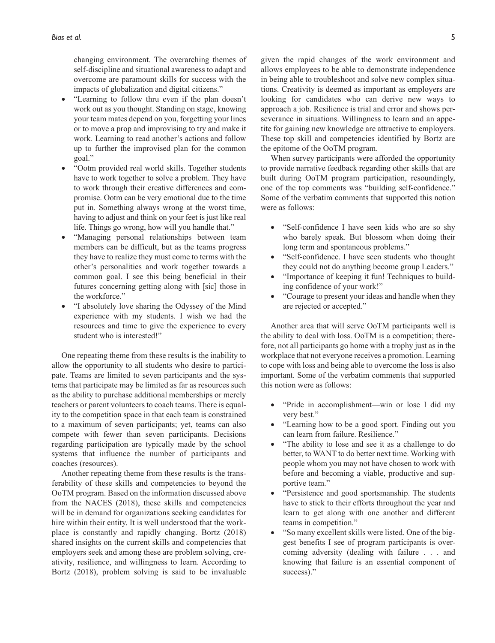changing environment. The overarching themes of self-discipline and situational awareness to adapt and overcome are paramount skills for success with the impacts of globalization and digital citizens."

- "Learning to follow thru even if the plan doesn't work out as you thought. Standing on stage, knowing your team mates depend on you, forgetting your lines or to move a prop and improvising to try and make it work. Learning to read another's actions and follow up to further the improvised plan for the common goal."
- "Ootm provided real world skills. Together students have to work together to solve a problem. They have to work through their creative differences and compromise. Ootm can be very emotional due to the time put in. Something always wrong at the worst time, having to adjust and think on your feet is just like real life. Things go wrong, how will you handle that."
- "Managing personal relationships between team members can be difficult, but as the teams progress they have to realize they must come to terms with the other's personalities and work together towards a common goal. I see this being beneficial in their futures concerning getting along with [sic] those in the workforce."
- "I absolutely love sharing the Odyssey of the Mind experience with my students. I wish we had the resources and time to give the experience to every student who is interested!"

One repeating theme from these results is the inability to allow the opportunity to all students who desire to participate. Teams are limited to seven participants and the systems that participate may be limited as far as resources such as the ability to purchase additional memberships or merely teachers or parent volunteers to coach teams. There is equality to the competition space in that each team is constrained to a maximum of seven participants; yet, teams can also compete with fewer than seven participants. Decisions regarding participation are typically made by the school systems that influence the number of participants and coaches (resources).

Another repeating theme from these results is the transferability of these skills and competencies to beyond the OoTM program. Based on the information discussed above from the NACES (2018), these skills and competencies will be in demand for organizations seeking candidates for hire within their entity. It is well understood that the workplace is constantly and rapidly changing. Bortz (2018) shared insights on the current skills and competencies that employers seek and among these are problem solving, creativity, resilience, and willingness to learn. According to Bortz (2018), problem solving is said to be invaluable

given the rapid changes of the work environment and allows employees to be able to demonstrate independence in being able to troubleshoot and solve new complex situations. Creativity is deemed as important as employers are looking for candidates who can derive new ways to approach a job. Resilience is trial and error and shows perseverance in situations. Willingness to learn and an appetite for gaining new knowledge are attractive to employers. These top skill and competencies identified by Bortz are the epitome of the OoTM program.

When survey participants were afforded the opportunity to provide narrative feedback regarding other skills that are built during OoTM program participation, resoundingly, one of the top comments was "building self-confidence." Some of the verbatim comments that supported this notion were as follows:

- "Self-confidence I have seen kids who are so shy who barely speak. But blossom when doing their long term and spontaneous problems."
- "Self-confidence. I have seen students who thought they could not do anything become group Leaders."
- "Importance of keeping it fun! Techniques to building confidence of your work!"
- "Courage to present your ideas and handle when they are rejected or accepted."

Another area that will serve OoTM participants well is the ability to deal with loss. OoTM is a competition; therefore, not all participants go home with a trophy just as in the workplace that not everyone receives a promotion. Learning to cope with loss and being able to overcome the loss is also important. Some of the verbatim comments that supported this notion were as follows:

- "Pride in accomplishment—win or lose I did my very best."
- "Learning how to be a good sport. Finding out you can learn from failure. Resilience."
- "The ability to lose and see it as a challenge to do better, to WANT to do better next time. Working with people whom you may not have chosen to work with before and becoming a viable, productive and supportive team."
- "Persistence and good sportsmanship. The students have to stick to their efforts throughout the year and learn to get along with one another and different teams in competition."
- "So many excellent skills were listed. One of the biggest benefits I see of program participants is overcoming adversity (dealing with failure . . . and knowing that failure is an essential component of success)."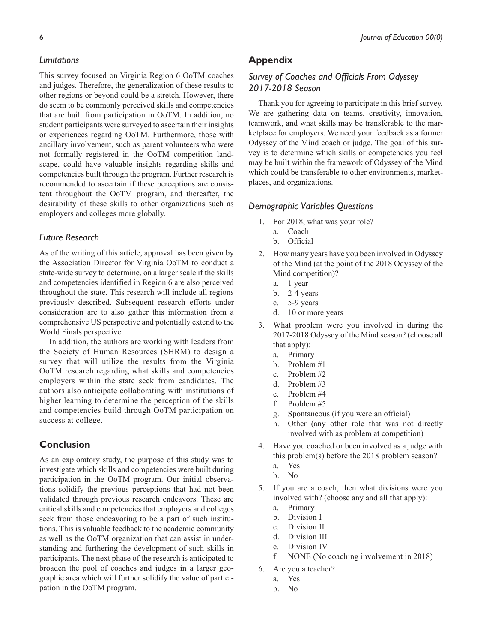#### *Limitations*

This survey focused on Virginia Region 6 OoTM coaches and judges. Therefore, the generalization of these results to other regions or beyond could be a stretch. However, there do seem to be commonly perceived skills and competencies that are built from participation in OoTM. In addition, no student participants were surveyed to ascertain their insights or experiences regarding OoTM. Furthermore, those with ancillary involvement, such as parent volunteers who were not formally registered in the OoTM competition landscape, could have valuable insights regarding skills and competencies built through the program. Further research is recommended to ascertain if these perceptions are consistent throughout the OoTM program, and thereafter, the desirability of these skills to other organizations such as employers and colleges more globally.

## *Future Research*

As of the writing of this article, approval has been given by the Association Director for Virginia OoTM to conduct a state-wide survey to determine, on a larger scale if the skills and competencies identified in Region 6 are also perceived throughout the state. This research will include all regions previously described. Subsequent research efforts under consideration are to also gather this information from a comprehensive US perspective and potentially extend to the World Finals perspective.

In addition, the authors are working with leaders from the Society of Human Resources (SHRM) to design a survey that will utilize the results from the Virginia OoTM research regarding what skills and competencies employers within the state seek from candidates. The authors also anticipate collaborating with institutions of higher learning to determine the perception of the skills and competencies build through OoTM participation on success at college.

# **Conclusion**

As an exploratory study, the purpose of this study was to investigate which skills and competencies were built during participation in the OoTM program. Our initial observations solidify the previous perceptions that had not been validated through previous research endeavors. These are critical skills and competencies that employers and colleges seek from those endeavoring to be a part of such institutions. This is valuable feedback to the academic community as well as the OoTM organization that can assist in understanding and furthering the development of such skills in participants. The next phase of the research is anticipated to broaden the pool of coaches and judges in a larger geographic area which will further solidify the value of participation in the OoTM program.

## **Appendix**

# *Survey of Coaches and Officials From Odyssey 2017-2018 Season*

Thank you for agreeing to participate in this brief survey. We are gathering data on teams, creativity, innovation, teamwork, and what skills may be transferable to the marketplace for employers. We need your feedback as a former Odyssey of the Mind coach or judge. The goal of this survey is to determine which skills or competencies you feel may be built within the framework of Odyssey of the Mind which could be transferable to other environments, marketplaces, and organizations.

# *Demographic Variables Questions*

- 1. For 2018, what was your role?
	- a. Coach
	- b. Official
- 2. How many years have you been involved in Odyssey of the Mind (at the point of the 2018 Odyssey of the Mind competition)?
	- a. 1 year
	- b. 2-4 years
	- c. 5-9 years
	- d. 10 or more years
- 3. What problem were you involved in during the 2017-2018 Odyssey of the Mind season? (choose all that apply):
	- a. Primary
	- b. Problem #1
	- c. Problem #2
	- d. Problem #3
	- e. Problem #4
	- f. Problem #5
	- g. Spontaneous (if you were an official)
	- h. Other (any other role that was not directly involved with as problem at competition)
- 4. Have you coached or been involved as a judge with this problem(s) before the 2018 problem season?
	- a. Yes
	- b. No
- 5. If you are a coach, then what divisions were you involved with? (choose any and all that apply):
	- a. Primary
	- b. Division I
	- c. Division II
	- d. Division III
	- e. Division IV
	- f. NONE (No coaching involvement in 2018)
- 6. Are you a teacher?
	- a. Yes
	- b. No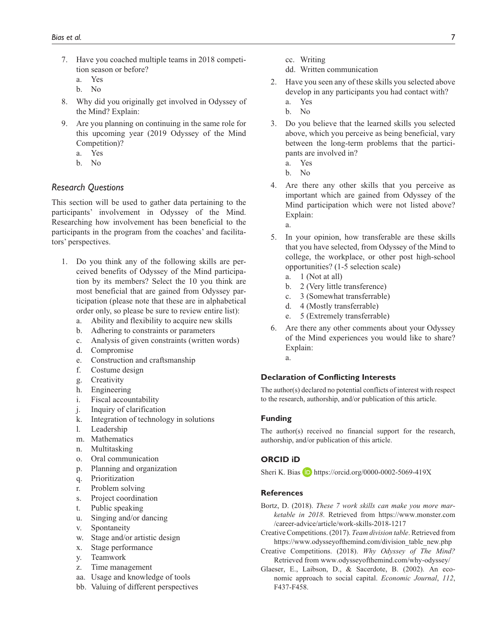- 7. Have you coached multiple teams in 2018 competition season or before?
	- a. Yes
	- b. No
- 8. Why did you originally get involved in Odyssey of the Mind? Explain:
- 9. Are you planning on continuing in the same role for this upcoming year (2019 Odyssey of the Mind Competition)?
	- a. Yes
	- b. No

## *Research Questions*

This section will be used to gather data pertaining to the participants' involvement in Odyssey of the Mind. Researching how involvement has been beneficial to the participants in the program from the coaches' and facilitators' perspectives.

- 1. Do you think any of the following skills are perceived benefits of Odyssey of the Mind participation by its members? Select the 10 you think are most beneficial that are gained from Odyssey participation (please note that these are in alphabetical order only, so please be sure to review entire list):
	- a. Ability and flexibility to acquire new skills
	- b. Adhering to constraints or parameters
	- c. Analysis of given constraints (written words)
	- d. Compromise
	- e. Construction and craftsmanship
	- f. Costume design
	- g. Creativity
	- h. Engineering
	- i. Fiscal accountability
	- j. Inquiry of clarification
	- k. Integration of technology in solutions
	- l. Leadership
	- m. Mathematics
	- n. Multitasking
	- o. Oral communication
	- p. Planning and organization
	- q. Prioritization
	- r. Problem solving
	- s. Project coordination
	- t. Public speaking
	- u. Singing and/or dancing
	- v. Spontaneity
	- w. Stage and/or artistic design
	- x. Stage performance
	- y. Teamwork
	- z. Time management
	- aa. Usage and knowledge of tools
	- bb. Valuing of different perspectives
- cc. Writing
- dd. Written communication
- 2. Have you seen any of these skills you selected above develop in any participants you had contact with? a. Yes
	- b. No
	-
- 3. Do you believe that the learned skills you selected above, which you perceive as being beneficial, vary between the long-term problems that the participants are involved in?
	- a. Yes
	- b. No
- 4. Are there any other skills that you perceive as important which are gained from Odyssey of the Mind participation which were not listed above? Explain: a.
- 5. In your opinion, how transferable are these skills that you have selected, from Odyssey of the Mind to college, the workplace, or other post high-school opportunities? (1-5 selection scale)
	- a. 1 (Not at all)
	- b. 2 (Very little transference)
	- c. 3 (Somewhat transferrable)
	- d. 4 (Mostly transferrable)
	- e. 5 (Extremely transferrable)
- 6. Are there any other comments about your Odyssey of the Mind experiences you would like to share? Explain:
	- a.

#### **Declaration of Conflicting Interests**

The author(s) declared no potential conflicts of interest with respect to the research, authorship, and/or publication of this article.

#### **Funding**

The author(s) received no financial support for the research, authorship, and/or publication of this article.

### **ORCID iD**

Sheri K. Bias **https://orcid.org/0000-0002-5069-419X** 

#### **References**

- Bortz, D. (2018). *These 7 work skills can make you more marketable in 2018*. Retrieved from https://www.monster.com /career-advice/article/work-skills-2018-1217
- Creative Competitions. (2017). *Team division table*. Retrieved from https://www.odysseyofthemind.com/division\_table\_new.php
- Creative Competitions. (2018). *Why Odyssey of The Mind?* Retrieved from www.odysseyofthemind.com/why-odyssey/
- Glaeser, E., Laibson, D., & Sacerdote, B. (2002). An economic approach to social capital. *Economic Journal*, *112*, F437-F458.